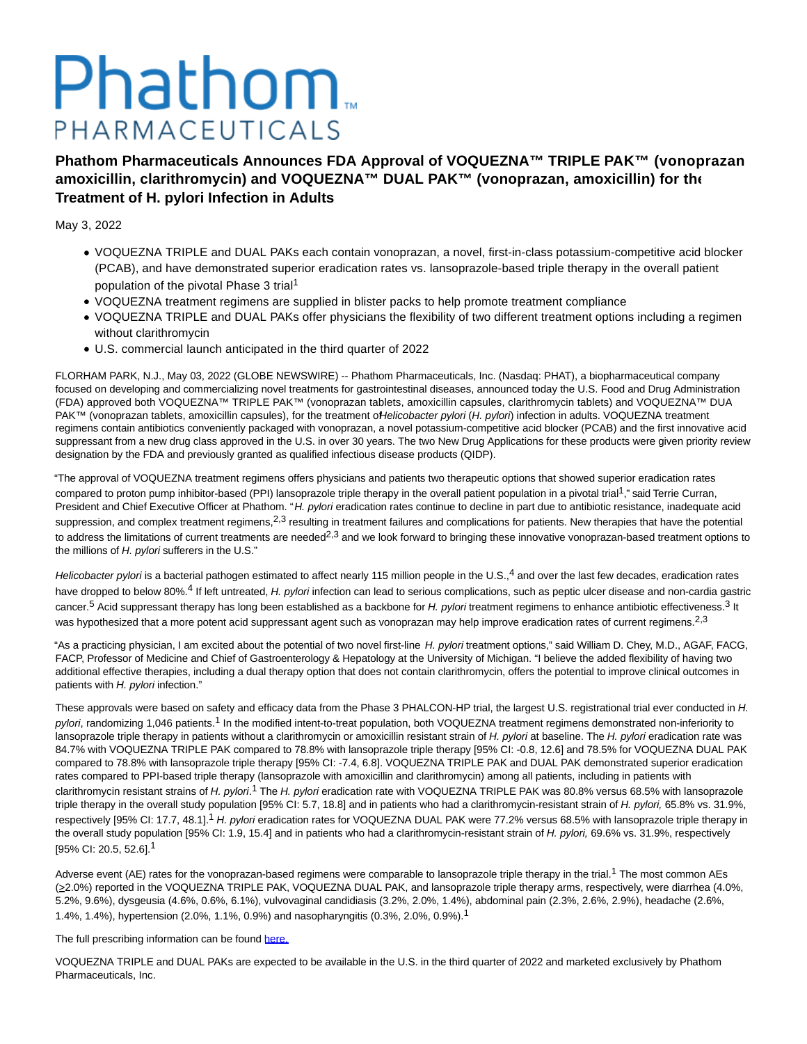# Phathom. PHARMACEUTICALS

**Phathom Pharmaceuticals Announces FDA Approval of VOQUEZNA™ TRIPLE PAK™ (vonoprazan, amoxicillin, clarithromycin) and VOQUEZNA™ DUAL PAK™ (vonoprazan, amoxicillin) for the Treatment of H. pylori Infection in Adults**

May 3, 2022

- VOQUEZNA TRIPLE and DUAL PAKs each contain vonoprazan, a novel, first-in-class potassium-competitive acid blocker (PCAB), and have demonstrated superior eradication rates vs. lansoprazole-based triple therapy in the overall patient population of the pivotal Phase 3 trial<sup>1</sup>
- VOQUEZNA treatment regimens are supplied in blister packs to help promote treatment compliance
- VOQUEZNA TRIPLE and DUAL PAKs offer physicians the flexibility of two different treatment options including a regimen without clarithromycin
- U.S. commercial launch anticipated in the third quarter of 2022

FLORHAM PARK, N.J., May 03, 2022 (GLOBE NEWSWIRE) -- Phathom Pharmaceuticals, Inc. (Nasdaq: PHAT), a biopharmaceutical company focused on developing and commercializing novel treatments for gastrointestinal diseases, announced today the U.S. Food and Drug Administration (FDA) approved both VOQUEZNA™ TRIPLE PAK™ (vonoprazan tablets, amoxicillin capsules, clarithromycin tablets) and VOQUEZNA™ DUAL PAK™ (vonoprazan tablets, amoxicillin capsules), for the treatment ofHelicobacter pylori (H. pylori) infection in adults. VOQUEZNA treatment regimens contain antibiotics conveniently packaged with vonoprazan, a novel potassium-competitive acid blocker (PCAB) and the first innovative acid suppressant from a new drug class approved in the U.S. in over 30 years. The two New Drug Applications for these products were given priority review designation by the FDA and previously granted as qualified infectious disease products (QIDP).

"The approval of VOQUEZNA treatment regimens offers physicians and patients two therapeutic options that showed superior eradication rates compared to proton pump inhibitor-based (PPI) lansoprazole triple therapy in the overall patient population in a pivotal trial<sup>1</sup>," said Terrie Curran, President and Chief Executive Officer at Phathom. "H. pylori eradication rates continue to decline in part due to antibiotic resistance, inadequate acid suppression, and complex treatment regimens,<sup>2,3</sup> resulting in treatment failures and complications for patients. New therapies that have the potential to address the limitations of current treatments are needed<sup>2,3</sup> and we look forward to bringing these innovative vonoprazan-based treatment options to the millions of H. pylori sufferers in the U.S."

Helicobacter pylori is a bacterial pathogen estimated to affect nearly 115 million people in the U.S.,<sup>4</sup> and over the last few decades, eradication rates have dropped to below 80%.<sup>4</sup> If left untreated, H. pylori infection can lead to serious complications, such as peptic ulcer disease and non-cardia gastric cancer.<sup>5</sup> Acid suppressant therapy has long been established as a backbone for H. pylori treatment regimens to enhance antibiotic effectiveness.<sup>3</sup> It was hypothesized that a more potent acid suppressant agent such as vonoprazan may help improve eradication rates of current regimens.<sup>2,3</sup>

"As a practicing physician, I am excited about the potential of two novel first-line H. pylori treatment options," said William D. Chey, M.D., AGAF, FACG, FACP, Professor of Medicine and Chief of Gastroenterology & Hepatology at the University of Michigan. "I believe the added flexibility of having two additional effective therapies, including a dual therapy option that does not contain clarithromycin, offers the potential to improve clinical outcomes in patients with H. pylori infection."

These approvals were based on safety and efficacy data from the Phase 3 PHALCON-HP trial, the largest U.S. registrational trial ever conducted in H. pylori, randomizing 1,046 patients.<sup>1</sup> In the modified intent-to-treat population, both VOQUEZNA treatment regimens demonstrated non-inferiority to lansoprazole triple therapy in patients without a clarithromycin or amoxicillin resistant strain of H. pylori at baseline. The H. pylori eradication rate was 84.7% with VOQUEZNA TRIPLE PAK compared to 78.8% with lansoprazole triple therapy [95% CI: -0.8, 12.6] and 78.5% for VOQUEZNA DUAL PAK compared to 78.8% with lansoprazole triple therapy [95% CI: -7.4, 6.8]. VOQUEZNA TRIPLE PAK and DUAL PAK demonstrated superior eradication rates compared to PPI-based triple therapy (lansoprazole with amoxicillin and clarithromycin) among all patients, including in patients with clarithromycin resistant strains of H. pylori.<sup>1</sup> The H. pylori eradication rate with VOQUEZNA TRIPLE PAK was 80.8% versus 68.5% with lansoprazole triple therapy in the overall study population [95% CI: 5.7, 18.8] and in patients who had a clarithromycin-resistant strain of H. pylori, 65.8% vs. 31.9%, respectively [95% CI: 17.7, 48.1].<sup>1</sup> H. pylori eradication rates for VOQUEZNA DUAL PAK were 77.2% versus 68.5% with lansoprazole triple therapy in the overall study population [95% CI: 1.9, 15.4] and in patients who had a clarithromycin-resistant strain of H. pylori, 69.6% vs. 31.9%, respectively [95% CI: 20.5, 52.6].1

Adverse event (AE) rates for the vonoprazan-based regimens were comparable to lansoprazole triple therapy in the trial.<sup>1</sup> The most common AEs (>2.0%) reported in the VOQUEZNA TRIPLE PAK, VOQUEZNA DUAL PAK, and lansoprazole triple therapy arms, respectively, were diarrhea (4.0%, 5.2%, 9.6%), dysgeusia (4.6%, 0.6%, 6.1%), vulvovaginal candidiasis (3.2%, 2.0%, 1.4%), abdominal pain (2.3%, 2.6%, 2.9%), headache (2.6%, 1.4%, 1.4%), hypertension (2.0%, 1.1%, 0.9%) and nasopharyngitis (0.3%, 2.0%, 0.9%).1

The full prescribing information can be found [here.](https://www.globenewswire.com/Tracker?data=X91IehpeqPAdY-oLVEoRt7nLzyFaJYBTrZaP5St52rgTZyqPxNqDek8JzOV3XEQ68tjSkCT7lgl2eLGOsh1hiQwHtokpUmXX_iHrwI4ATZvh_ChA7QjBsOdnRAx6WcQhzYWwND5egRMK7JLwSHfWQQ0CnPI1Wb1WHBbveQ3i2DGMFt9SCy1E9UTmvqRmQZH0)

VOQUEZNA TRIPLE and DUAL PAKs are expected to be available in the U.S. in the third quarter of 2022 and marketed exclusively by Phathom Pharmaceuticals, Inc.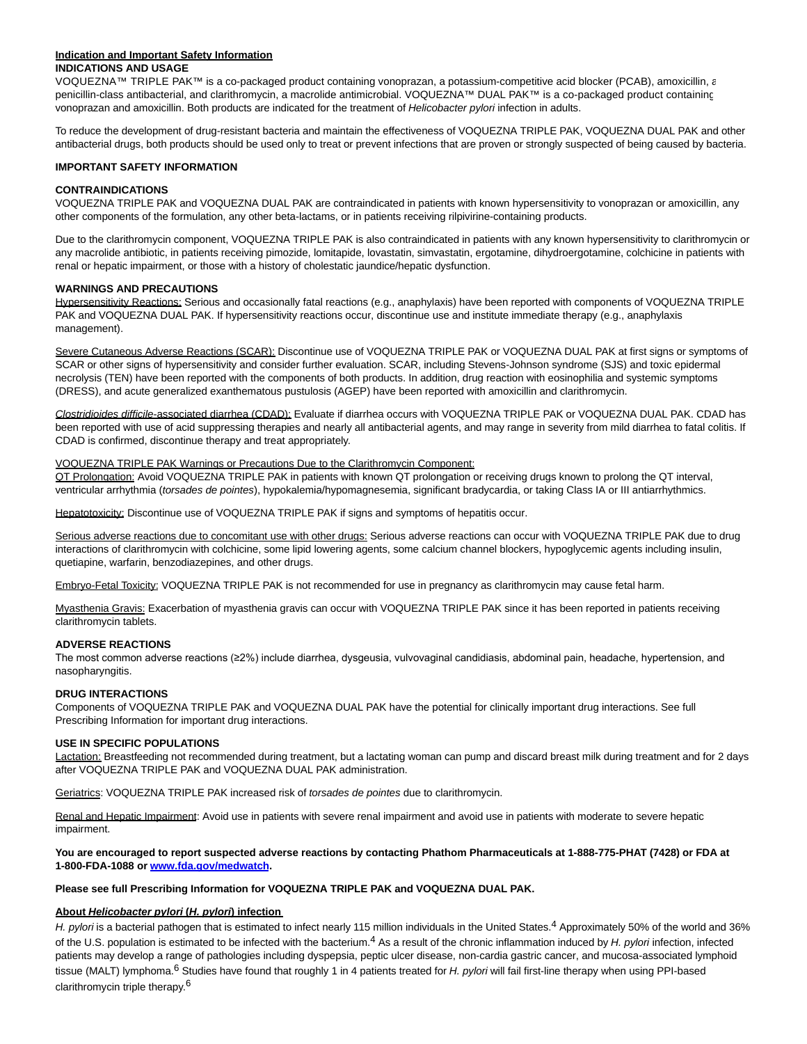#### **Indication and Important Safety Information INDICATIONS AND USAGE**

VOQUEZNA™ TRIPLE PAK™ is a co-packaged product containing vonoprazan, a potassium-competitive acid blocker (PCAB), amoxicillin, a penicillin-class antibacterial, and clarithromycin, a macrolide antimicrobial. VOQUEZNA™ DUAL PAK™ is a co-packaged product containing vonoprazan and amoxicillin. Both products are indicated for the treatment of Helicobacter pylori infection in adults.

To reduce the development of drug-resistant bacteria and maintain the effectiveness of VOQUEZNA TRIPLE PAK, VOQUEZNA DUAL PAK and other antibacterial drugs, both products should be used only to treat or prevent infections that are proven or strongly suspected of being caused by bacteria.

# **IMPORTANT SAFETY INFORMATION**

#### **CONTRAINDICATIONS**

VOQUEZNA TRIPLE PAK and VOQUEZNA DUAL PAK are contraindicated in patients with known hypersensitivity to vonoprazan or amoxicillin, any other components of the formulation, any other beta-lactams, or in patients receiving rilpivirine-containing products.

Due to the clarithromycin component, VOQUEZNA TRIPLE PAK is also contraindicated in patients with any known hypersensitivity to clarithromycin or any macrolide antibiotic, in patients receiving pimozide, lomitapide, lovastatin, simvastatin, ergotamine, dihydroergotamine, colchicine in patients with renal or hepatic impairment, or those with a history of cholestatic jaundice/hepatic dysfunction.

# **WARNINGS AND PRECAUTIONS**

Hypersensitivity Reactions: Serious and occasionally fatal reactions (e.g., anaphylaxis) have been reported with components of VOQUEZNA TRIPLE PAK and VOQUEZNA DUAL PAK. If hypersensitivity reactions occur, discontinue use and institute immediate therapy (e.g., anaphylaxis management).

Severe Cutaneous Adverse Reactions (SCAR): Discontinue use of VOQUEZNA TRIPLE PAK or VOQUEZNA DUAL PAK at first signs or symptoms of SCAR or other signs of hypersensitivity and consider further evaluation. SCAR, including Stevens-Johnson syndrome (SJS) and toxic epidermal necrolysis (TEN) have been reported with the components of both products. In addition, drug reaction with eosinophilia and systemic symptoms (DRESS), and acute generalized exanthematous pustulosis (AGEP) have been reported with amoxicillin and clarithromycin.

Clostridioides difficile-associated diarrhea (CDAD); Evaluate if diarrhea occurs with VOQUEZNA TRIPLE PAK or VOQUEZNA DUAL PAK. CDAD has been reported with use of acid suppressing therapies and nearly all antibacterial agents, and may range in severity from mild diarrhea to fatal colitis. If CDAD is confirmed, discontinue therapy and treat appropriately.

#### VOQUEZNA TRIPLE PAK Warnings or Precautions Due to the Clarithromycin Component:

QT Prolongation: Avoid VOQUEZNA TRIPLE PAK in patients with known QT prolongation or receiving drugs known to prolong the QT interval, ventricular arrhythmia (torsades de pointes), hypokalemia/hypomagnesemia, significant bradycardia, or taking Class IA or III antiarrhythmics.

Hepatotoxicity: Discontinue use of VOQUEZNA TRIPLE PAK if signs and symptoms of hepatitis occur.

Serious adverse reactions due to concomitant use with other drugs: Serious adverse reactions can occur with VOQUEZNA TRIPLE PAK due to drug interactions of clarithromycin with colchicine, some lipid lowering agents, some calcium channel blockers, hypoglycemic agents including insulin, quetiapine, warfarin, benzodiazepines, and other drugs.

Embryo-Fetal Toxicity: VOQUEZNA TRIPLE PAK is not recommended for use in pregnancy as clarithromycin may cause fetal harm.

Myasthenia Gravis: Exacerbation of myasthenia gravis can occur with VOQUEZNA TRIPLE PAK since it has been reported in patients receiving clarithromycin tablets.

#### **ADVERSE REACTIONS**

The most common adverse reactions (≥2%) include diarrhea, dysgeusia, vulvovaginal candidiasis, abdominal pain, headache, hypertension, and nasopharyngitis.

#### **DRUG INTERACTIONS**

Components of VOQUEZNA TRIPLE PAK and VOQUEZNA DUAL PAK have the potential for clinically important drug interactions. See full Prescribing Information for important drug interactions.

#### **USE IN SPECIFIC POPULATIONS**

Lactation: Breastfeeding not recommended during treatment, but a lactating woman can pump and discard breast milk during treatment and for 2 days after VOQUEZNA TRIPLE PAK and VOQUEZNA DUAL PAK administration.

Geriatrics: VOQUEZNA TRIPLE PAK increased risk of torsades de pointes due to clarithromycin.

Renal and Hepatic Impairment: Avoid use in patients with severe renal impairment and avoid use in patients with moderate to severe hepatic impairment.

**You are encouraged to report suspected adverse reactions by contacting Phathom Pharmaceuticals at 1-888-775-PHAT (7428) or FDA at 1-800-FDA-1088 o[r www.fda.gov/medwatch.](https://www.globenewswire.com/Tracker?data=7GM_Y2Uhl2P9TEDv9Bb9zIimACbdOWrEanFSLFAhWP4CzzUDVO7NCgAiPuAS02EnVqJ5iNzITneFXs1SvzFEwvleszXt3volpAs3dDDxJbs=)**

#### **Please see full Prescribing Information for VOQUEZNA TRIPLE PAK and VOQUEZNA DUAL PAK.**

# **About Helicobacter pylori (H. pylori) infection**

H. pylori is a bacterial pathogen that is estimated to infect nearly 115 million individuals in the United States.<sup>4</sup> Approximately 50% of the world and 36% of the U.S. population is estimated to be infected with the bacterium.<sup>4</sup> As a result of the chronic inflammation induced by H. pylori infection, infected patients may develop a range of pathologies including dyspepsia, peptic ulcer disease, non-cardia gastric cancer, and mucosa-associated lymphoid tissue (MALT) lymphoma.<sup>6</sup> Studies have found that roughly 1 in 4 patients treated for H. pylori will fail first-line therapy when using PPI-based clarithromycin triple therapy.6